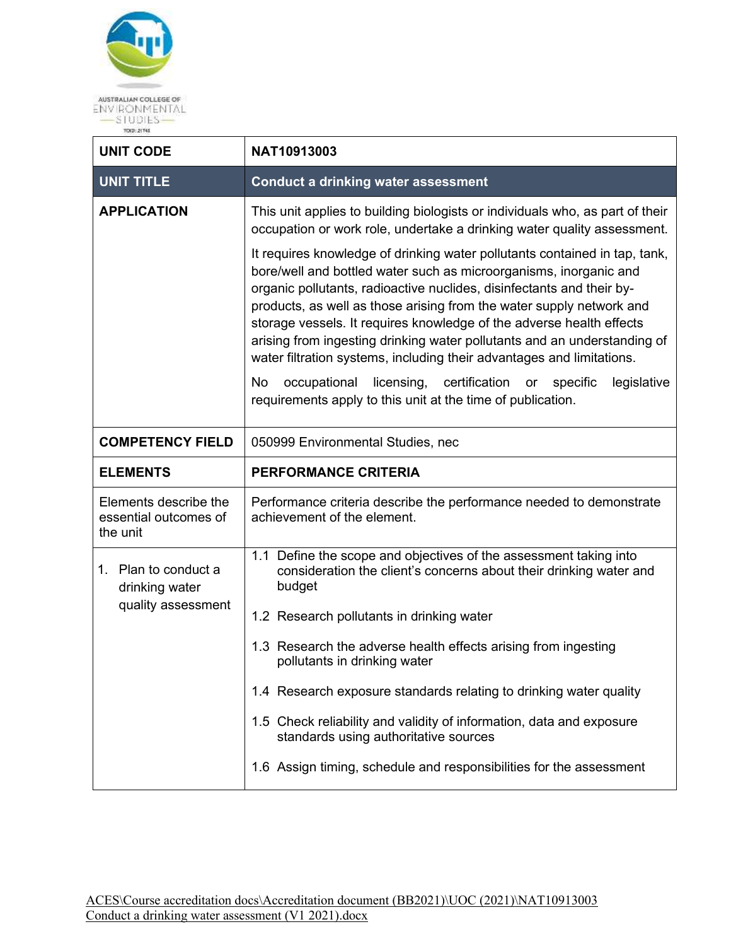

| <b>UNIT CODE</b>                                             | NAT10913003                                                                                                                                                                                                                                                                                                                                                                                                                                                                                                                                                                                                                                                                        |  |
|--------------------------------------------------------------|------------------------------------------------------------------------------------------------------------------------------------------------------------------------------------------------------------------------------------------------------------------------------------------------------------------------------------------------------------------------------------------------------------------------------------------------------------------------------------------------------------------------------------------------------------------------------------------------------------------------------------------------------------------------------------|--|
| <b>UNIT TITLE</b>                                            | <b>Conduct a drinking water assessment</b>                                                                                                                                                                                                                                                                                                                                                                                                                                                                                                                                                                                                                                         |  |
| <b>APPLICATION</b>                                           | This unit applies to building biologists or individuals who, as part of their<br>occupation or work role, undertake a drinking water quality assessment.                                                                                                                                                                                                                                                                                                                                                                                                                                                                                                                           |  |
|                                                              | It requires knowledge of drinking water pollutants contained in tap, tank,<br>bore/well and bottled water such as microorganisms, inorganic and<br>organic pollutants, radioactive nuclides, disinfectants and their by-<br>products, as well as those arising from the water supply network and<br>storage vessels. It requires knowledge of the adverse health effects<br>arising from ingesting drinking water pollutants and an understanding of<br>water filtration systems, including their advantages and limitations.<br>licensing,<br>certification<br>No<br>occupational<br>legislative<br>or<br>specific<br>requirements apply to this unit at the time of publication. |  |
| <b>COMPETENCY FIELD</b>                                      | 050999 Environmental Studies, nec                                                                                                                                                                                                                                                                                                                                                                                                                                                                                                                                                                                                                                                  |  |
| <b>ELEMENTS</b>                                              | <b>PERFORMANCE CRITERIA</b>                                                                                                                                                                                                                                                                                                                                                                                                                                                                                                                                                                                                                                                        |  |
| Elements describe the<br>essential outcomes of<br>the unit   | Performance criteria describe the performance needed to demonstrate<br>achievement of the element.                                                                                                                                                                                                                                                                                                                                                                                                                                                                                                                                                                                 |  |
| 1. Plan to conduct a<br>drinking water<br>quality assessment | 1.1 Define the scope and objectives of the assessment taking into<br>consideration the client's concerns about their drinking water and<br>budget<br>1.2 Research pollutants in drinking water                                                                                                                                                                                                                                                                                                                                                                                                                                                                                     |  |
|                                                              | 1.3 Research the adverse health effects arising from ingesting<br>pollutants in drinking water                                                                                                                                                                                                                                                                                                                                                                                                                                                                                                                                                                                     |  |
|                                                              | 1.4 Research exposure standards relating to drinking water quality                                                                                                                                                                                                                                                                                                                                                                                                                                                                                                                                                                                                                 |  |
|                                                              | 1.5 Check reliability and validity of information, data and exposure<br>standards using authoritative sources                                                                                                                                                                                                                                                                                                                                                                                                                                                                                                                                                                      |  |
|                                                              | 1.6 Assign timing, schedule and responsibilities for the assessment                                                                                                                                                                                                                                                                                                                                                                                                                                                                                                                                                                                                                |  |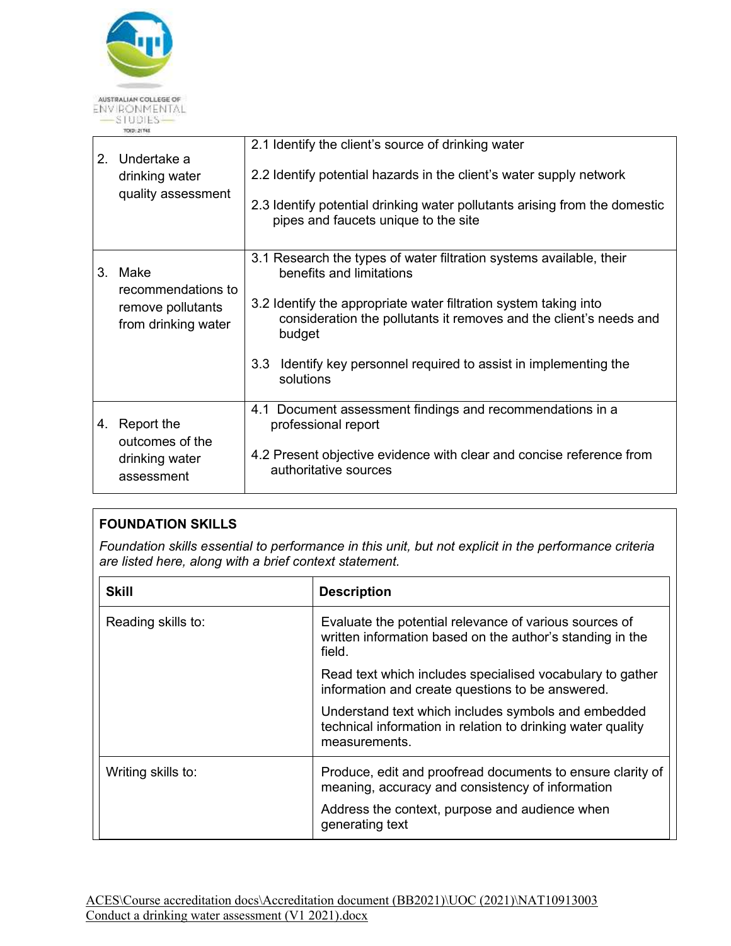

| 2. | Undertake a                                                    | 2.1 Identify the client's source of drinking water                                                                                               |
|----|----------------------------------------------------------------|--------------------------------------------------------------------------------------------------------------------------------------------------|
|    | drinking water                                                 | 2.2 Identify potential hazards in the client's water supply network                                                                              |
|    | quality assessment                                             | 2.3 Identify potential drinking water pollutants arising from the domestic<br>pipes and faucets unique to the site                               |
| 3. | Make                                                           | 3.1 Research the types of water filtration systems available, their<br>benefits and limitations                                                  |
|    | recommendations to<br>remove pollutants<br>from drinking water | 3.2 Identify the appropriate water filtration system taking into<br>consideration the pollutants it removes and the client's needs and<br>budget |
|    |                                                                | Identify key personnel required to assist in implementing the<br>3.3 <sub>1</sub><br>solutions                                                   |
| 4. | Report the<br>outcomes of the                                  | 4.1 Document assessment findings and recommendations in a<br>professional report                                                                 |
|    | drinking water<br>assessment                                   | 4.2 Present objective evidence with clear and concise reference from<br>authoritative sources                                                    |

## **FOUNDATION SKILLS**

*Foundation skills essential to performance in this unit, but not explicit in the performance criteria are listed here, along with a brief context statement.* 

| <b>Skill</b>       | <b>Description</b>                                                                                                                  |
|--------------------|-------------------------------------------------------------------------------------------------------------------------------------|
| Reading skills to: | Evaluate the potential relevance of various sources of<br>written information based on the author's standing in the<br>field.       |
|                    | Read text which includes specialised vocabulary to gather<br>information and create questions to be answered.                       |
|                    | Understand text which includes symbols and embedded<br>technical information in relation to drinking water quality<br>measurements. |
| Writing skills to: | Produce, edit and proofread documents to ensure clarity of<br>meaning, accuracy and consistency of information                      |
|                    | Address the context, purpose and audience when<br>generating text                                                                   |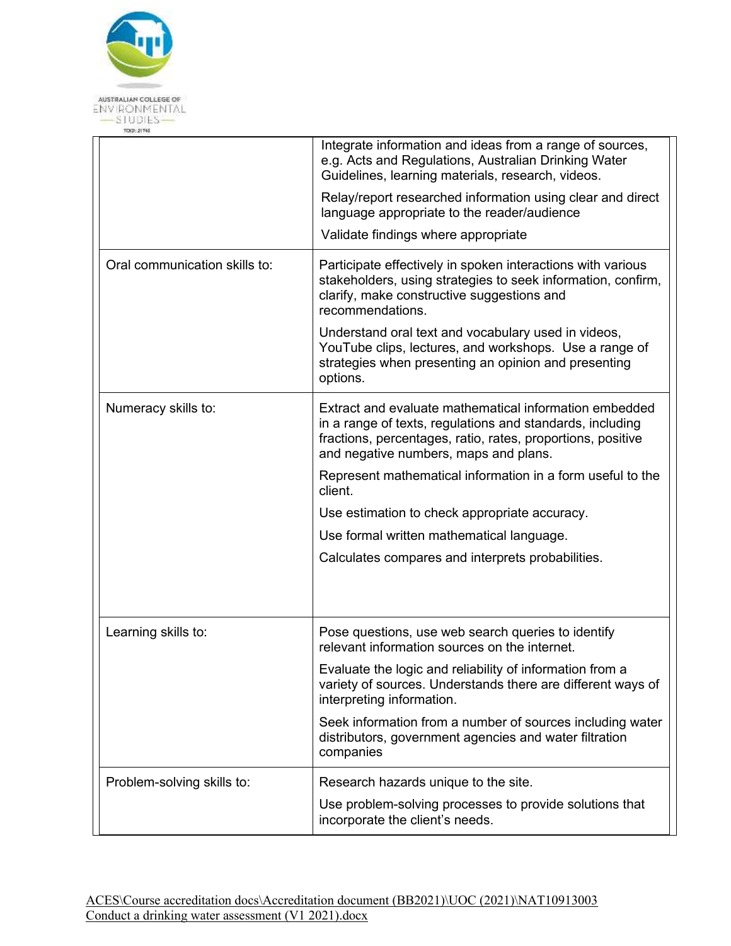

|                               | Integrate information and ideas from a range of sources,<br>e.g. Acts and Regulations, Australian Drinking Water<br>Guidelines, learning materials, research, videos.<br>Relay/report researched information using clear and direct<br>language appropriate to the reader/audience<br>Validate findings where appropriate |
|-------------------------------|---------------------------------------------------------------------------------------------------------------------------------------------------------------------------------------------------------------------------------------------------------------------------------------------------------------------------|
| Oral communication skills to: | Participate effectively in spoken interactions with various<br>stakeholders, using strategies to seek information, confirm,<br>clarify, make constructive suggestions and<br>recommendations.                                                                                                                             |
|                               | Understand oral text and vocabulary used in videos,<br>YouTube clips, lectures, and workshops. Use a range of<br>strategies when presenting an opinion and presenting<br>options.                                                                                                                                         |
| Numeracy skills to:           | Extract and evaluate mathematical information embedded<br>in a range of texts, regulations and standards, including<br>fractions, percentages, ratio, rates, proportions, positive<br>and negative numbers, maps and plans.                                                                                               |
|                               | Represent mathematical information in a form useful to the<br>client.                                                                                                                                                                                                                                                     |
|                               | Use estimation to check appropriate accuracy.                                                                                                                                                                                                                                                                             |
|                               | Use formal written mathematical language.                                                                                                                                                                                                                                                                                 |
|                               | Calculates compares and interprets probabilities.                                                                                                                                                                                                                                                                         |
|                               |                                                                                                                                                                                                                                                                                                                           |
| Learning skills to:           | Pose questions, use web search queries to identify<br>relevant information sources on the internet.                                                                                                                                                                                                                       |
|                               | Evaluate the logic and reliability of information from a<br>variety of sources. Understands there are different ways of<br>interpreting information.                                                                                                                                                                      |
|                               | Seek information from a number of sources including water<br>distributors, government agencies and water filtration<br>companies                                                                                                                                                                                          |
| Problem-solving skills to:    | Research hazards unique to the site.                                                                                                                                                                                                                                                                                      |
|                               | Use problem-solving processes to provide solutions that<br>incorporate the client's needs.                                                                                                                                                                                                                                |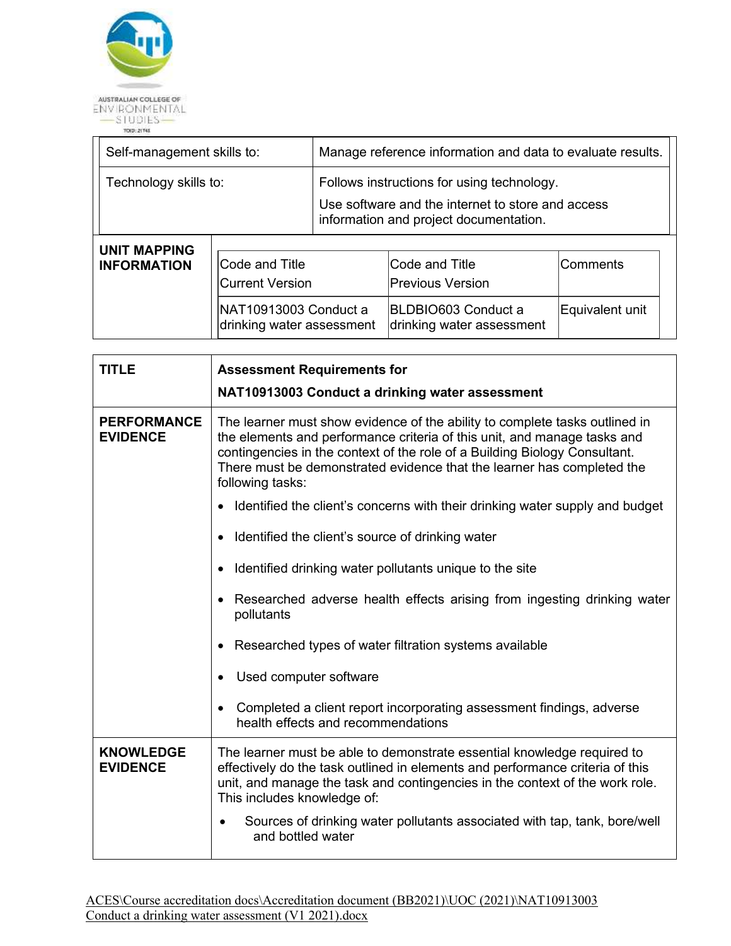

| Self-management skills to:                |                                          | Manage reference information and data to evaluate results.                                                                                |                                           |          |  |
|-------------------------------------------|------------------------------------------|-------------------------------------------------------------------------------------------------------------------------------------------|-------------------------------------------|----------|--|
| Technology skills to:                     |                                          | Follows instructions for using technology.<br>Use software and the internet to store and access<br>information and project documentation. |                                           |          |  |
| <b>UNIT MAPPING</b><br><b>INFORMATION</b> | Code and Title<br><b>Current Version</b> |                                                                                                                                           | Code and Title<br><b>Previous Version</b> | Comments |  |

drinking water assessment drinking water assessment

BLDBIO603 Conduct a

Equivalent unit

NAT10913003 Conduct a

| <b>TITLE</b>                          | <b>Assessment Requirements for</b><br>NAT10913003 Conduct a drinking water assessment                                                                                                                                                                                                                                               |
|---------------------------------------|-------------------------------------------------------------------------------------------------------------------------------------------------------------------------------------------------------------------------------------------------------------------------------------------------------------------------------------|
| <b>PERFORMANCE</b><br><b>EVIDENCE</b> | The learner must show evidence of the ability to complete tasks outlined in<br>the elements and performance criteria of this unit, and manage tasks and<br>contingencies in the context of the role of a Building Biology Consultant.<br>There must be demonstrated evidence that the learner has completed the<br>following tasks: |
|                                       | Identified the client's concerns with their drinking water supply and budget                                                                                                                                                                                                                                                        |
|                                       | Identified the client's source of drinking water                                                                                                                                                                                                                                                                                    |
|                                       | Identified drinking water pollutants unique to the site                                                                                                                                                                                                                                                                             |
|                                       | Researched adverse health effects arising from ingesting drinking water<br>pollutants                                                                                                                                                                                                                                               |
|                                       | Researched types of water filtration systems available                                                                                                                                                                                                                                                                              |
|                                       | Used computer software                                                                                                                                                                                                                                                                                                              |
|                                       | Completed a client report incorporating assessment findings, adverse<br>health effects and recommendations                                                                                                                                                                                                                          |
| <b>KNOWLEDGE</b><br><b>EVIDENCE</b>   | The learner must be able to demonstrate essential knowledge required to<br>effectively do the task outlined in elements and performance criteria of this<br>unit, and manage the task and contingencies in the context of the work role.<br>This includes knowledge of:                                                             |
|                                       | Sources of drinking water pollutants associated with tap, tank, bore/well<br>and bottled water                                                                                                                                                                                                                                      |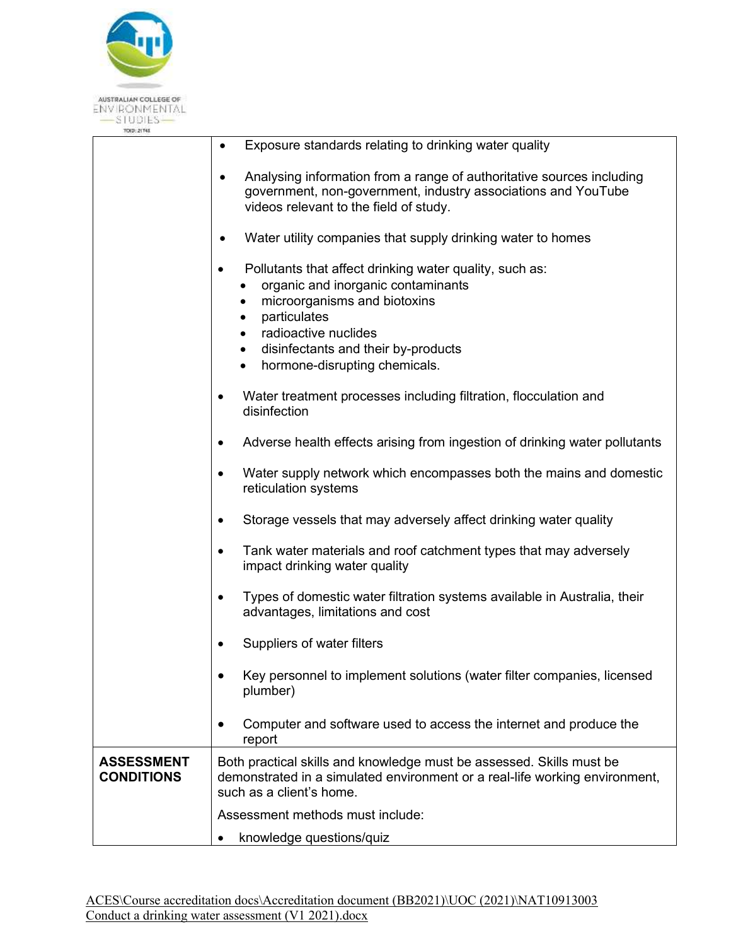

| TO(D: 21745                            |                                                                                                                                                                                                                                                                                                                     |
|----------------------------------------|---------------------------------------------------------------------------------------------------------------------------------------------------------------------------------------------------------------------------------------------------------------------------------------------------------------------|
|                                        | Exposure standards relating to drinking water quality<br>$\bullet$                                                                                                                                                                                                                                                  |
|                                        | Analysing information from a range of authoritative sources including<br>government, non-government, industry associations and YouTube<br>videos relevant to the field of study.                                                                                                                                    |
|                                        | Water utility companies that supply drinking water to homes                                                                                                                                                                                                                                                         |
|                                        | Pollutants that affect drinking water quality, such as:<br>$\bullet$<br>organic and inorganic contaminants<br>microorganisms and biotoxins<br>٠<br>particulates<br>$\bullet$<br>radioactive nuclides<br>$\bullet$<br>disinfectants and their by-products<br>$\bullet$<br>hormone-disrupting chemicals.<br>$\bullet$ |
|                                        | Water treatment processes including filtration, flocculation and<br>$\bullet$<br>disinfection                                                                                                                                                                                                                       |
|                                        | Adverse health effects arising from ingestion of drinking water pollutants<br>$\bullet$                                                                                                                                                                                                                             |
|                                        | Water supply network which encompasses both the mains and domestic<br>$\bullet$<br>reticulation systems                                                                                                                                                                                                             |
|                                        | Storage vessels that may adversely affect drinking water quality<br>$\bullet$                                                                                                                                                                                                                                       |
|                                        | Tank water materials and roof catchment types that may adversely<br>$\bullet$<br>impact drinking water quality                                                                                                                                                                                                      |
|                                        | Types of domestic water filtration systems available in Australia, their<br>$\bullet$<br>advantages, limitations and cost                                                                                                                                                                                           |
|                                        | Suppliers of water filters                                                                                                                                                                                                                                                                                          |
|                                        | Key personnel to implement solutions (water filter companies, licensed<br>$\bullet$<br>plumber)                                                                                                                                                                                                                     |
|                                        | Computer and software used to access the internet and produce the<br>$\bullet$<br>report                                                                                                                                                                                                                            |
| <b>ASSESSMENT</b><br><b>CONDITIONS</b> | Both practical skills and knowledge must be assessed. Skills must be<br>demonstrated in a simulated environment or a real-life working environment,<br>such as a client's home.                                                                                                                                     |
|                                        | Assessment methods must include:                                                                                                                                                                                                                                                                                    |
|                                        | knowledge questions/quiz                                                                                                                                                                                                                                                                                            |